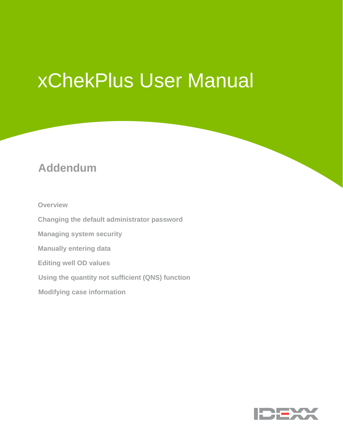# xChekPlus User Manual

# **Addendum**

**Overview**

**Changing the default administrator password** 

**Managing system security** 

**Manually entering data** 

**Editing well OD values** 

**Using the quantity not sufficient (QNS) function**

**Modifying case information**

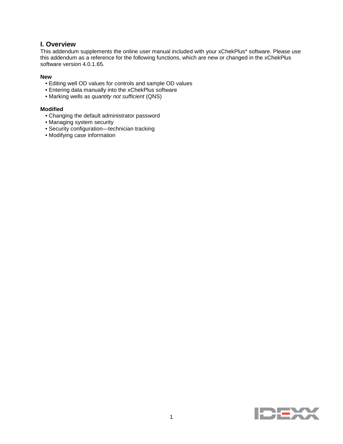# **I. Overview**

This addendum supplements the online user manual included with your xChekPlus\* software. Please use this addendum as a reference for the following functions, which are new or changed in the xChekPlus software version 4.0.1.65.

#### **New**

- Editing well OD values for controls and sample OD values
- Entering data manually into the xChekPlus software
- Marking wells as *quantity not sufficient* (QNS)

#### **Modified**

- Changing the default administrator password
- Managing system security
- Security configuration—technician tracking
- Modifying case information

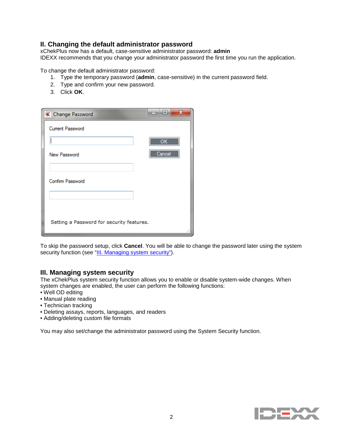# **II. Changing the default administrator password**

xChekPlus now has a default, case-sensitive administrator password: **admin** IDEXX recommends that you change your administrator password the first time you run the application.

To change the default administrator password:

- 1. Type the temporary password (**admin**, case-sensitive) in the current password field.
- 2. Type and confirm your new password.
- 3. Click **OK**.

| <b>K</b> Change Password                  | x<br> ⊟                |
|-------------------------------------------|------------------------|
| Current Password                          |                        |
|                                           | $\overline{\text{OK}}$ |
| New Password                              | Cancel                 |
|                                           |                        |
| Confirm Password                          |                        |
|                                           |                        |
|                                           |                        |
| Setting a Password for security features. |                        |
|                                           |                        |

To skip the password setup, click **Cancel**. You will be able to change the password later using the system security function (see ["III. Managing system security"](#page-2-0)).

#### <span id="page-2-0"></span>**III. Managing system security**

The xChekPlus system security function allows you to enable or disable system-wide changes. When system changes are enabled, the user can perform the following functions:

- Well OD editing
- Manual plate reading
- Technician tracking
- Deleting assays, reports, languages, and readers
- Adding/deleting custom file formats

<span id="page-2-1"></span>You may also set/change the administrator password using the System Security function.

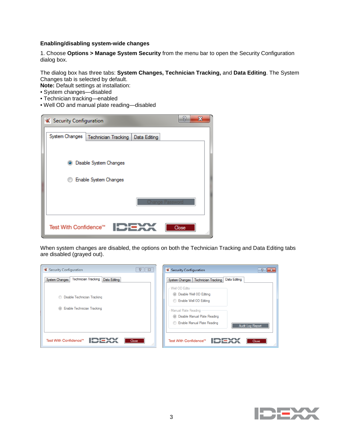#### **Enabling/disabling system-wide changes**

1. Choose **Options > Manage System Security** from the menu bar to open the Security Configuration dialog box.

The dialog box has three tabs: **System Changes, Technician Tracking,** and **Data Editing**. The System Changes tab is selected by default.

**Note:** Default settings at installation:

- System changes—disabled
- Technician tracking—enabled
- Well OD and manual plate reading—disabled

| B<br><b>X</b> Security Configuration                 |  |
|------------------------------------------------------|--|
| System Changes<br>Technician Tracking   Data Editing |  |
| Disable System Changes<br>$\bullet$                  |  |
| Enable System Changes                                |  |
| <b>Change Password</b>                               |  |
| Test With Confidence™<br>Close                       |  |

When system changes are disabled, the options on both the Technician Tracking and Data Editing tabs are disabled (grayed out).

| P<br>$\Sigma$<br><b>X</b> Security Configuration                                 | <b>X</b> Security Configuration                                                                                                                                                                                                      |
|----------------------------------------------------------------------------------|--------------------------------------------------------------------------------------------------------------------------------------------------------------------------------------------------------------------------------------|
| <b>Technician Tracking</b><br>Data Editing<br>System Changes                     | Data Editing<br><b>Technician Tracking</b><br>System Changes                                                                                                                                                                         |
| Disable Technician Tracking<br>∩<br>Enable Technician Tracking<br>$\circledcirc$ | -Well OD Edits<br>Disable Well OD Editing<br>$\circledcirc$<br><b>Enable Well OD Editing</b><br>- Manual Plate Reading<br>Disable Manual Plate Reading<br>$\circledcirc$<br><b>C</b> Enable Manual Plate Reading<br>Audit Log Report |
| Test With Confidence™<br>Close<br>.11                                            | Test With Confidence™<br>Close                                                                                                                                                                                                       |

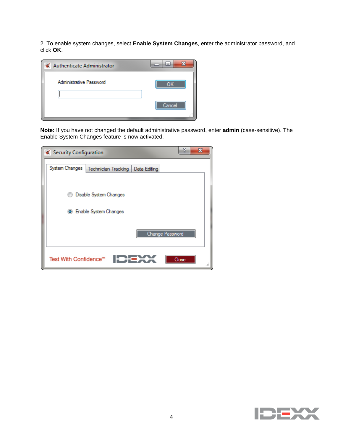2. To enable system changes, select **Enable System Changes**, enter the administrator password, and click **OK**.



**Note:** If you have not changed the default administrative password, enter **admin** (case-sensitive). The Enable System Changes feature is now activated.

| <b>X</b> Security Configuration                       | 'n<br>x |
|-------------------------------------------------------|---------|
| System Changes<br>Technician Tracking<br>Data Editing |         |
| Disable System Changes                                |         |
| Enable System Changes<br>$\bullet$                    |         |
| Change Password                                       |         |
| Test With Confidence™                                 | Close   |

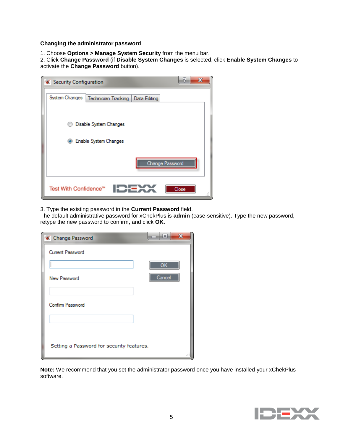#### **Changing the administrator password**

1. Choose **Options > Manage System Security** from the menu bar.

2. Click **Change Password** (if **Disable System Changes** is selected, click **Enable System Changes** to activate the **Change Password** button).

| <b>X</b> Security Configuration                       | B<br>x |
|-------------------------------------------------------|--------|
| System Changes<br>Technician Tracking<br>Data Editing |        |
| Disable System Changes                                |        |
| Enable System Changes<br>$\bullet$                    |        |
| Change Password                                       |        |
| Test With Confidence™                                 | Close  |

3. Type the existing password in the **Current Password** field.

The default administrative password for xChekPlus is **admin** (case-sensitive). Type the new password, retype the new password to confirm, and click **OK**.

| <b>K</b> Change Password                  | x<br>$=$ |
|-------------------------------------------|----------|
| Current Password                          |          |
|                                           | OK       |
| New Password                              | Cancel   |
| Confirm Password                          |          |
| Setting a Password for security features. |          |

**Note:** We recommend that you set the administrator password once you have installed your xChekPlus software.

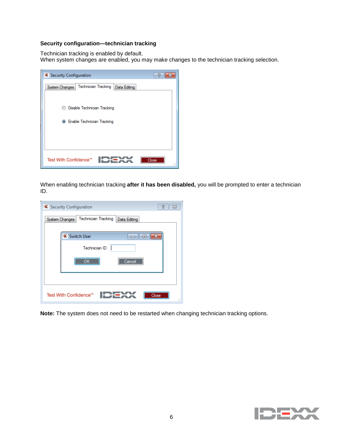## **Security configuration—technician tracking**

Technician tracking is enabled by default.

When system changes are enabled, you may make changes to the technician tracking selection.

| <b>X</b> Security Configuration                       |             |
|-------------------------------------------------------|-------------|
| Technician Tracking<br>System Changes<br>Data Editing |             |
|                                                       |             |
| Disable Technician Tracking                           |             |
| Enable Technician Tracking<br>$\bullet$               |             |
|                                                       |             |
|                                                       |             |
|                                                       |             |
| Test With Confidence™                                 | Close<br>a1 |

When enabling technician tracking **after it has been disabled,** you will be prompted to enter a technician ID.

| <b>X</b> Security Configuration |                            |              | 7<br>ΣS     |
|---------------------------------|----------------------------|--------------|-------------|
| System Changes                  | <b>Technician Tracking</b> | Data Editing |             |
|                                 |                            |              |             |
|                                 | <b>X</b> Switch User       | 同            |             |
|                                 | Technician ID              |              |             |
|                                 | OK                         | Cancel       |             |
|                                 |                            |              |             |
|                                 |                            |              |             |
| Test With Confidence™           |                            |              | Close<br>лî |

**Note:** The system does not need to be restarted when changing technician tracking options.

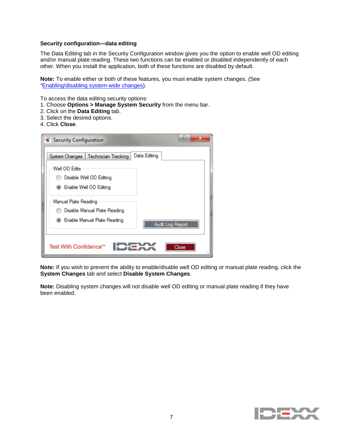#### **Security configuration—data editing**

The Data Editing tab in the Security Configuration window gives you the option to enable well OD editing and/or manual plate reading. These two functions can be enabled or disabled independently of each other. When you install the application, both of these functions are disabled by default.

**Note:** To enable either or both of these features, you must enable system changes. (See ["Enabling/disabling system-wide changes\)](#page-2-1).

To access the data editing security options:

- 1. Choose **Options > Manage System Security** from the menu bar.
- 2. Click on the **Data Editing** tab.
- 3. Select the desired options.
- 4. Click **Close**.

| <b>X</b> Security Configuration      | 'n<br>x          |
|--------------------------------------|------------------|
| System Changes   Technician Tracking | Data Editing     |
| Well OD Edits                        |                  |
| Disable Well OD Editing              |                  |
| <b>C</b> Enable Well OD Editing      |                  |
| Manual Plate Reading                 |                  |
| Disable Manual Plate Reading         |                  |
| <b>C</b> Enable Manual Plate Reading | Audit Log Report |
| Test With Confidence™                | Close            |

**Note:** If you wish to prevent the ability to enable/disable well OD editing or manual plate reading, click the **System Changes** tab and select **Disable System Changes**.

**Note:** Disabling system changes will not disable well OD editing or manual plate reading if they have been enabled.

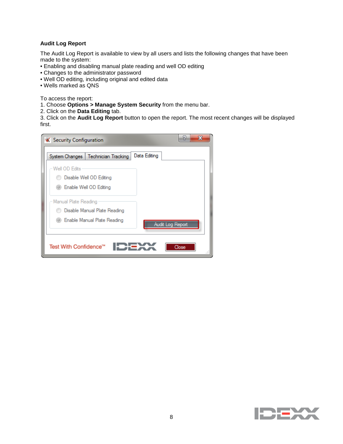#### **Audit Log Report**

The Audit Log Report is available to view by all users and lists the following changes that have been made to the system:

- Enabling and disabling manual plate reading and well OD editing
- Changes to the administrator password
- Well OD editing, including original and edited data
- Wells marked as QNS

To access the report:

- 1. Choose **Options > Manage System Security** from the menu bar.
- 2. Click on the **Data Editing** tab.

3. Click on the **Audit Log Report** button to open the report. The most recent changes will be displayed first.

| <b>X</b> Security Configuration      | R<br>х           |
|--------------------------------------|------------------|
| System Changes   Technician Tracking | Data Editing     |
| Well OD Edits                        |                  |
| Disable Well OD Editing              |                  |
| <b>Enable Well OD Editing</b>        |                  |
| - Manual Plate Reading               |                  |
| Disable Manual Plate Reading         |                  |
| (@) Enable Manual Plate Reading      | Audit Log Report |
| Test With Confidence™                | Close            |

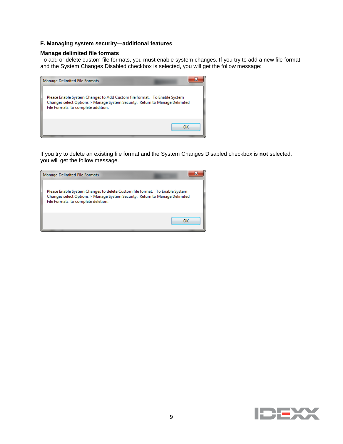#### **F. Managing system security—additional features**

#### **Manage delimited file formats**

To add or delete custom file formats, you must enable system changes. If you try to add a new file format and the System Changes Disabled checkbox is selected, you will get the follow message:

| Manage Delimited File Formats                                                                                                                                                                 |    |
|-----------------------------------------------------------------------------------------------------------------------------------------------------------------------------------------------|----|
| Please Enable System Changes to Add Custom file format. To Enable System<br>Changes select Options > Manage System Security. Return to Manage Delimited<br>File Formats to complete addition. |    |
|                                                                                                                                                                                               | OK |

If you try to delete an existing file format and the System Changes Disabled checkbox is **not** selected, you will get the follow message.



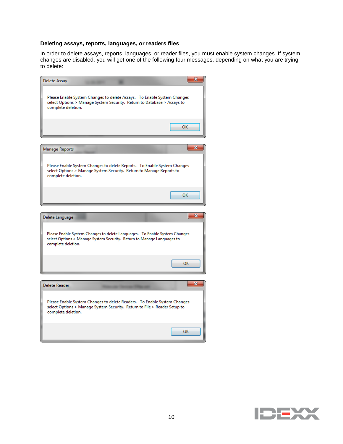#### **Deleting assays, reports, languages, or readers files**

In order to delete assays, reports, languages, or reader files, you must enable system changes. If system changes are disabled, you will get one of the following four messages, depending on what you are trying to delete:



| Delete Reader                                                                                                                                                               |    |
|-----------------------------------------------------------------------------------------------------------------------------------------------------------------------------|----|
| Please Enable System Changes to delete Readers. To Enable System Changes<br>select Options > Manage System Security. Return to File > Reader Setup to<br>complete deletion. |    |
|                                                                                                                                                                             | ΟК |



OK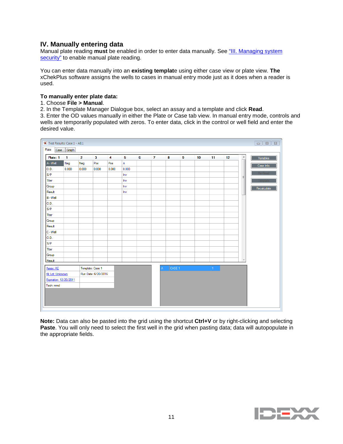# **IV. Manually entering data**

Manual plate reading **must** be enabled in order to enter data manually. See ["III. Managing system](#page-2-0)  [security"](#page-2-0) to enable manual plate reading.

You can enter data manually into an **existing templat**e using either case view or plate view. **The**  xChekPlus software assigns the wells to cases in manual entry mode just as it does when a reader is used.

#### **To manually enter plate data:**

## 1. Choose **File > Manual**.

2. In the Template Manager Dialogue box, select an assay and a template and click **Read**.

3. Enter the OD values manually in either the Plate or Case tab view. In manual entry mode, controls and wells are temporarily populated with zeros. To enter data, click in the control or well field and enter the desired value.

| Test Results: Case 1 - AE:1 |              |                |                     |       |       |   |              |                        |   |    |               |    |                          | $\begin{array}{c c c c c c} \hline \multicolumn{3}{c }{\mathbf{H}} & \multicolumn{3}{c }{\mathbf{H}} & \multicolumn{3}{c }{\mathbf{H}} & \multicolumn{3}{c }{\mathbf{H}} & \multicolumn{3}{c }{\mathbf{H}} & \multicolumn{3}{c }{\mathbf{H}} & \multicolumn{3}{c }{\mathbf{H}} & \multicolumn{3}{c }{\mathbf{H}} & \multicolumn{3}{c }{\mathbf{H}} & \multicolumn{3}{c }{\mathbf{H}} & \multicolumn{3}{c }{\mathbf{H}} & \multicolumn{3}{c }{\mathbf$ |
|-----------------------------|--------------|----------------|---------------------|-------|-------|---|--------------|------------------------|---|----|---------------|----|--------------------------|-------------------------------------------------------------------------------------------------------------------------------------------------------------------------------------------------------------------------------------------------------------------------------------------------------------------------------------------------------------------------------------------------------------------------------------------------------|
| Plate<br>Case               | Graph        |                |                     |       |       |   |              |                        |   |    |               |    |                          |                                                                                                                                                                                                                                                                                                                                                                                                                                                       |
| Plate: 1                    | $\mathbf{1}$ | $\overline{2}$ | $\mathbf{3}$        | 4     | 5     | 6 | $\mathbf{7}$ | 8                      | 9 | 10 | 11            | 12 | $\blacktriangle$         | Variables                                                                                                                                                                                                                                                                                                                                                                                                                                             |
| A - Well                    | Neg          | Neg            | Pos                 | Pos   | Α     |   |              |                        |   |    |               |    |                          | Case Info                                                                                                                                                                                                                                                                                                                                                                                                                                             |
| 0.D.                        | 0.000        | 0.000          | 0.000               | 0.000 | 0.000 |   |              |                        |   |    |               |    |                          |                                                                                                                                                                                                                                                                                                                                                                                                                                                       |
| S/P                         |              |                |                     |       | Inv   |   |              |                        |   |    |               |    | Ξ                        | ło-Ho                                                                                                                                                                                                                                                                                                                                                                                                                                                 |
| Titer                       |              |                |                     |       | Inv   |   |              |                        |   |    |               |    |                          |                                                                                                                                                                                                                                                                                                                                                                                                                                                       |
| Group                       |              |                |                     |       | Inv   |   |              |                        |   |    |               |    |                          | Recalculate                                                                                                                                                                                                                                                                                                                                                                                                                                           |
| Result                      |              |                |                     |       | Inv   |   |              |                        |   |    |               |    |                          |                                                                                                                                                                                                                                                                                                                                                                                                                                                       |
| $B - Well$                  |              |                |                     |       |       |   |              |                        |   |    |               |    |                          |                                                                                                                                                                                                                                                                                                                                                                                                                                                       |
| 0.D.                        |              |                |                     |       |       |   |              |                        |   |    |               |    |                          |                                                                                                                                                                                                                                                                                                                                                                                                                                                       |
| S/P                         |              |                |                     |       |       |   |              |                        |   |    |               |    |                          |                                                                                                                                                                                                                                                                                                                                                                                                                                                       |
| Titer                       |              |                |                     |       |       |   |              |                        |   |    |               |    |                          |                                                                                                                                                                                                                                                                                                                                                                                                                                                       |
| Group                       |              |                |                     |       |       |   |              |                        |   |    |               |    |                          |                                                                                                                                                                                                                                                                                                                                                                                                                                                       |
| Result                      |              |                |                     |       |       |   |              |                        |   |    |               |    |                          |                                                                                                                                                                                                                                                                                                                                                                                                                                                       |
| C - Well                    |              |                |                     |       |       |   |              |                        |   |    |               |    |                          |                                                                                                                                                                                                                                                                                                                                                                                                                                                       |
| O.D.                        |              |                |                     |       |       |   |              |                        |   |    |               |    |                          |                                                                                                                                                                                                                                                                                                                                                                                                                                                       |
| S/P                         |              |                |                     |       |       |   |              |                        |   |    |               |    |                          |                                                                                                                                                                                                                                                                                                                                                                                                                                                       |
| Titer                       |              |                |                     |       |       |   |              |                        |   |    |               |    |                          |                                                                                                                                                                                                                                                                                                                                                                                                                                                       |
| Group                       |              |                |                     |       |       |   |              |                        |   |    |               |    |                          |                                                                                                                                                                                                                                                                                                                                                                                                                                                       |
| Result                      |              |                |                     |       |       |   |              |                        |   |    |               |    | $\overline{\phantom{a}}$ |                                                                                                                                                                                                                                                                                                                                                                                                                                                       |
| Assay: AE                   |              |                | Template: Case 1    |       |       |   |              | CASE <sub>1</sub><br>A |   |    | $\mathbf{11}$ |    |                          |                                                                                                                                                                                                                                                                                                                                                                                                                                                       |
| Kit Lot: Unknown            |              |                | Run Date: 6/20/2016 |       |       |   |              |                        |   |    |               |    |                          |                                                                                                                                                                                                                                                                                                                                                                                                                                                       |
| Expiration: 12/20/2011      |              |                |                     |       |       |   |              |                        |   |    |               |    |                          |                                                                                                                                                                                                                                                                                                                                                                                                                                                       |
| Tech: mmd                   |              |                |                     |       |       |   |              |                        |   |    |               |    |                          |                                                                                                                                                                                                                                                                                                                                                                                                                                                       |
|                             |              |                |                     |       |       |   |              |                        |   |    |               |    |                          |                                                                                                                                                                                                                                                                                                                                                                                                                                                       |
|                             |              |                |                     |       |       |   |              |                        |   |    |               |    |                          |                                                                                                                                                                                                                                                                                                                                                                                                                                                       |
|                             |              |                |                     |       |       |   |              |                        |   |    |               |    |                          |                                                                                                                                                                                                                                                                                                                                                                                                                                                       |
|                             |              |                |                     |       |       |   |              |                        |   |    |               |    |                          |                                                                                                                                                                                                                                                                                                                                                                                                                                                       |

**Note:** Data can also be pasted into the grid using the shortcut **Ctrl+V** or by right-clicking and selecting **Paste**. You will only need to select the first well in the grid when pasting data; data will autopopulate in the appropriate fields.

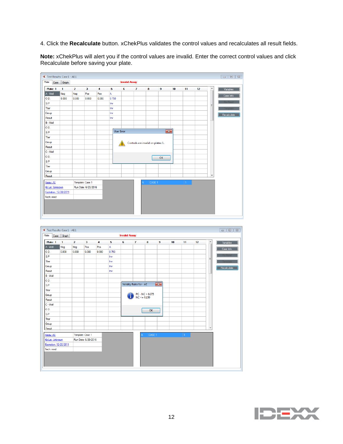4. Click the **Recalculate** button. xChekPlus validates the control values and recalculates all result fields.

**Note:** xChekPlus will alert you if the control values are invalid. Enter the correct control values and click Recalculate before saving your plate.



| Plate<br>Case          | Graph        |                |                         |                         |       | <b>Invalid Assay</b> |                         |                                     |              |    |    |    |                  |             |
|------------------------|--------------|----------------|-------------------------|-------------------------|-------|----------------------|-------------------------|-------------------------------------|--------------|----|----|----|------------------|-------------|
| Plate: 1               | $\mathbf{1}$ | $\overline{2}$ | $\overline{\mathbf{3}}$ | $\overline{\mathbf{4}}$ | 5     | 6                    | $\overline{7}$          | 8                                   | 9            | 10 | 11 | 12 | $\blacktriangle$ | Variables   |
| A - Well               | Neg          | Neg            | Pos                     | Pos                     | A     |                      |                         |                                     |              |    |    |    |                  | Case Info   |
| O.D.                   | 0.000        | 0.000          | 0.000                   | 0.000                   | 0.750 |                      |                         |                                     |              |    |    |    |                  |             |
| S/P                    |              |                |                         |                         | Inv   |                      |                         |                                     |              |    |    |    | Ξ                |             |
| Titer                  |              |                |                         |                         | Inv   |                      |                         |                                     |              |    |    |    |                  |             |
| Group                  |              |                |                         |                         | Inv   |                      |                         |                                     |              |    |    |    |                  | Recalculate |
| Result                 |              |                |                         |                         | Inv   |                      |                         |                                     |              |    |    |    |                  |             |
| $B - Well$             |              |                |                         |                         |       |                      |                         |                                     |              |    |    |    |                  |             |
| 0.D.                   |              |                |                         |                         |       |                      |                         |                                     |              |    |    |    |                  |             |
| S/P                    |              |                |                         |                         |       |                      | Validity Rules for - AE |                                     | $\boxed{23}$ |    |    |    |                  |             |
| Titer                  |              |                |                         |                         |       |                      |                         |                                     |              |    |    |    |                  |             |
| Group                  |              |                |                         |                         |       |                      |                         | $PC - NC > 0.075$<br>$NC \le 0.150$ |              |    |    |    |                  |             |
| Result                 |              |                |                         |                         |       |                      |                         |                                     |              |    |    |    |                  |             |
| C - Well               |              |                |                         |                         |       |                      |                         |                                     |              |    |    |    |                  |             |
| 0.D.                   |              |                |                         |                         |       |                      |                         | OK                                  |              |    |    |    |                  |             |
| S/P                    |              |                |                         |                         |       |                      |                         |                                     |              |    |    |    |                  |             |
| Titer                  |              |                |                         |                         |       |                      |                         |                                     |              |    |    |    |                  |             |
| Group                  |              |                |                         |                         |       |                      |                         |                                     |              |    |    |    |                  |             |
| Result                 |              |                |                         |                         |       |                      |                         |                                     |              |    |    |    | ٠                |             |
| Assay: AE              |              |                | Template: Case 1        |                         |       |                      |                         | CASE <sub>1</sub><br>А              |              |    | h. |    |                  |             |
| Kit Lot: Unknown       |              |                | Run Date: 6/20/2016     |                         |       |                      |                         |                                     |              |    |    |    |                  |             |
| Expiration: 12/20/2011 |              |                |                         |                         |       |                      |                         |                                     |              |    |    |    |                  |             |
| Tech: mmd              |              |                |                         |                         |       |                      |                         |                                     |              |    |    |    |                  |             |
|                        |              |                |                         |                         |       |                      |                         |                                     |              |    |    |    |                  |             |
|                        |              |                |                         |                         |       |                      |                         |                                     |              |    |    |    |                  |             |

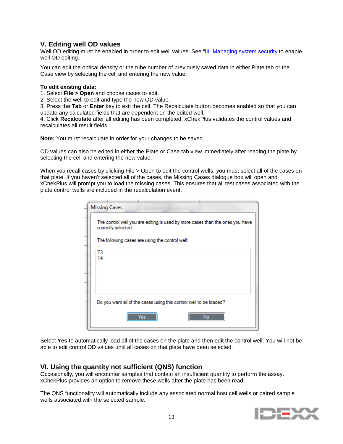# **V. Editing well OD values**

Well OD editing must be enabled in order to edit well values. See ["III. Managing system security](#page-2-0) to enable well OD editing.

You can edit the optical density or the tube number of previously saved data in either Plate tab or the Case view by selecting the cell and entering the new value.

#### **To edit existing data:**

1. Select **File > Open** and choose cases to edit.

2. Select the well to edit and type the new OD value.

3. Press the **Tab** or **Enter** key to exit the cell. The Recalculate button becomes enabled so that you can update any calculated fields that are dependent on the edited well.

4. Click **Recalculate** after all editing has been completed. xChekPlus validates the control values and recalculates all result fields.

**Note:** You must recalculate in order for your changes to be saved.

OD values can also be edited in either the Plate or Case tab view immediately after reading the plate by selecting the cell and entering the new value.

When you recall cases by clicking File > Open to edit the control wells, you must select all of the cases on that plate. If you haven't selected all of the cases, the Missing Cases dialogue box will open and xChekPlus will prompt you to load the missing cases. This ensures that all test cases associated with the plate control wells are included in the recalculation event.

| The control well you are editing is used by more cases than the ones you have<br>currently selected. |
|------------------------------------------------------------------------------------------------------|
| The following cases are using the control well:                                                      |
| T3<br>Τ4                                                                                             |
|                                                                                                      |
|                                                                                                      |
|                                                                                                      |
| Do you want all of the cases using this control well to be loaded?                                   |
| No<br>Yes                                                                                            |

Select **Yes** to automatically load all of the cases on the plate and then edit the control well. You will not be able to edit control OD values until all cases on that plate have been selected.

# **VI. Using the quantity not sufficient (QNS) function**

Occasionally, you will encounter samples that contain an insufficient quantity to perform the assay. xChekPlus provides an option to remove these wells after the plate has been read.

The QNS functionality will automatically include any associated normal host cell wells or paired sample wells associated with the selected sample.

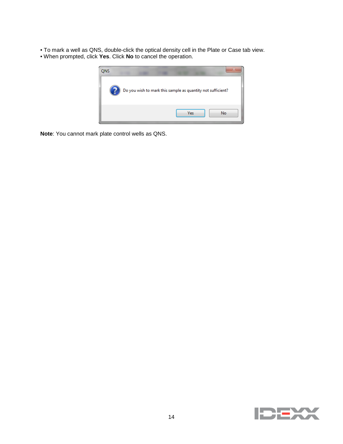• To mark a well as QNS, double-click the optical density cell in the Plate or Case tab view.

• When prompted, click **Yes**. Click **No** to cancel the operation.



**Note**: You cannot mark plate control wells as QNS.

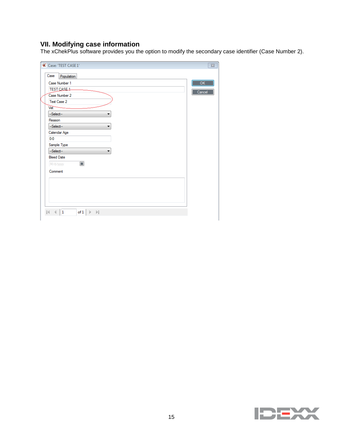# **VII. Modifying case information**

The xChekPlus software provides you the option to modify the secondary case identifier (Case Number 2).

| Case: 'TEST CASE 1'                                                 | $\Sigma$ |
|---------------------------------------------------------------------|----------|
| Case<br>Population                                                  |          |
| Case Number 1                                                       | OK       |
| TEST CASE 1                                                         | Cancel   |
| Case Number 2                                                       |          |
| Test Case 2                                                         |          |
| Vet <sup>-</sup>                                                    |          |
| -Select-                                                            |          |
| Reason                                                              |          |
| --Select--<br>۰                                                     |          |
| Calendar Age                                                        |          |
| $0 - 0$                                                             |          |
| Sample Type                                                         |          |
| --Select--<br>۰                                                     |          |
| <b>Bleed Date</b>                                                   |          |
| $\blacksquare$<br>M/d/yyyy                                          |          |
| Comment                                                             |          |
|                                                                     |          |
|                                                                     |          |
|                                                                     |          |
|                                                                     |          |
|                                                                     |          |
| $\mathbf{1}$<br>of 1<br>$\rightarrow$ $\rightarrow$<br>$\mathbb{N}$ |          |
|                                                                     |          |

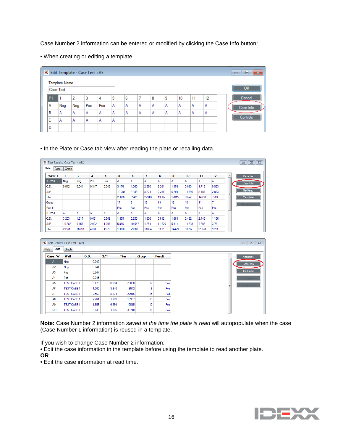Case Number 2 information can be entered or modified by clicking the Case Info button:

• When creating or editing a template.

|                |                                          | K Edit Template - Case Test : AE |                |     |   |   |   |   |   |    |    |    | $\mathbf{x}$<br>回 |
|----------------|------------------------------------------|----------------------------------|----------------|-----|---|---|---|---|---|----|----|----|-------------------|
|                | <b>Template Name</b><br><b>Case Test</b> |                                  |                |     |   |   |   |   |   |    |    |    | OK                |
| P <sub>1</sub> |                                          | 2                                | 3              | 4   | 5 | 6 | ⇁ | 8 | 9 | 10 | 11 | 12 | Cancel            |
| ΙA             | Neg                                      | Neg                              | Pos            | Pos | Α | Α | Α | Α | Α | Α  | Α  | Α  | Case Info         |
| В              | ١A                                       | Α                                | Α              | Α   | Α | Α | Α | Α | Α | Α  | Α  | A  |                   |
| C              | ١A                                       | А                                | $\overline{A}$ | А   | Α |   |   |   |   |    |    |    | Controls          |
| D              |                                          |                                  |                |     |   |   |   |   |   |    |    |    |                   |

• In the Plate or Case tab view after reading the plate or recalling data.

| <b>W</b> Test Results: Case Test - AE:1 |        |                |       |       |        |        |       |        |                 |        |       |       |   |  |
|-----------------------------------------|--------|----------------|-------|-------|--------|--------|-------|--------|-----------------|--------|-------|-------|---|--|
| Plate<br>Case                           | Graph  |                |       |       |        |        |       |        |                 |        |       |       |   |  |
| Plate: 1                                | 1      | $\overline{2}$ | 3     | 4     | 5      | 6      | 7     | 8      | 9               | 10     | 11    | 12    | ▲ |  |
| A - Well                                | Neg    | Neg            | Pos   | Pos   | A      | A      | l A   | А      | А               | А      | А     | А     |   |  |
| O.D.                                    | 0.042  | 0.041          | 0.347 | 0.345 | 3.176  | 1.060  | 2.560 | 2.261  | 1.958           | 3.633  | 1.713 | 0.953 |   |  |
| S/P                                     |        |                |       |       | 10.294 | 3.345  | 8.271 | 7.289  | 6.294           | 11.795 | 5.489 | 2.993 | Ξ |  |
| <b>Titer</b>                            |        |                |       |       | 29088  | 8542   | 22916 | 19967  | 17015           | 33740  | 14658 | 7569  |   |  |
| Group                                   |        |                |       |       | 17     | 8      | 15    | 13     | 12 <sup>2</sup> | 18     | 11    | 7     |   |  |
| Result                                  |        |                |       |       | Pos    | Pos    | Pos   | Pos    | Pos             | Pos    | Pos   | Pos   |   |  |
| $B - Well$                              | А      | A              | Α     | A     | A      | A      | l A   | ΙA     | A               | Α      | A     | Α     |   |  |
| O.D.                                    | 3.203  | 1.917          | 0.651 | 0.562 | 1.855  | 3.253  | 1.336 | 3.612  | 1.689           | 3.462  | 2.445 | 1.196 |   |  |
| S/P                                     | 10.383 | 6.159          | 2.002 | 1.709 | 5.956  | 10.547 | 4.251 | 11.726 | 5.411           | 11.233 | 7.893 | 3.791 |   |  |
| Titer                                   | 29361  | 16618          | 4881  | 4109  | 16020  | 29868  | 11094 | 33525  | 14429           | 31992  | 21778 | 9793  |   |  |

|           |                | <b>X</b> Test Results: Case Test - AE:1 |       |        |              |              |        |
|-----------|----------------|-----------------------------------------|-------|--------|--------------|--------------|--------|
| Plate     | Case           | Graph                                   |       |        |              |              |        |
| Case: 'A' |                | Well                                    | O.D.  | S/P    | <b>Titer</b> | <b>Group</b> | Result |
|           | A1             | Neg                                     | 0.042 |        |              |              |        |
|           | A2             | Neg                                     | 0.041 |        |              |              |        |
|           | A3             | Pos                                     | 0.347 |        |              |              |        |
|           | A4             | Pos                                     | 0.345 |        |              |              |        |
|           | A <sub>5</sub> | <b>TEST CASE 1</b>                      | 3.176 | 10.294 | 29088        | 17           | Pos    |
|           | A <sub>6</sub> | <b>TEST CASE 1</b>                      | 1.060 | 3.345  | 8542         | 8            | Pos    |
|           | A7             | <b>TEST CASE 1</b>                      | 2.560 | 8.271  | 22916        | 15           | Pos    |
|           | A8             | <b>TEST CASE 1</b>                      | 2.261 | 7.289  | 19967        | 13           | Pos    |
|           | A9             | <b>TEST CASE 1</b>                      | 1.958 | 6.294  | 17015        | 12           | Pos    |
|           | A10            | <b>TEST CASE 1</b>                      | 3.633 | 11.795 | 33740        | 18           | Pos    |
|           |                |                                         |       |        |              |              |        |

**Note:** Case Number 2 information *saved at the time the plate is read* will autopopulate when the case (Case Number 1 information) is reused in a template.

If you wish to change Case Number 2 information:

• Edit the case information in the template before using the template to read another plate.

**OR**

• Edit the case information at read time.